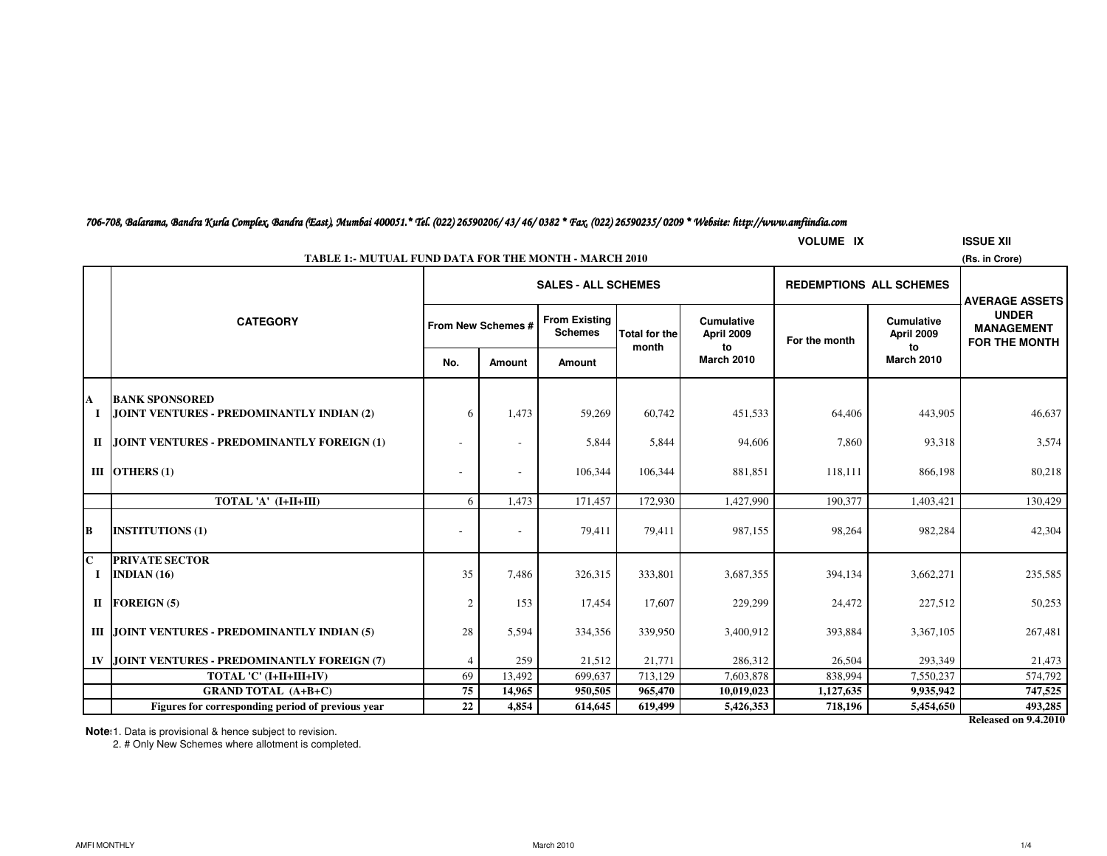| 706-708, Balarama, Bandra Kurla Complex, Bandra (East), Mumbai 400051.* Tel. (022) 26590206/ 43/ 46/ 0382 * Fax, (022) 26590235/ 0209 * Website: http://www.amfiindia.com |  |  |  |
|---------------------------------------------------------------------------------------------------------------------------------------------------------------------------|--|--|--|
|---------------------------------------------------------------------------------------------------------------------------------------------------------------------------|--|--|--|

|           | <b>VOLUME IX</b><br><b>ISSUE XII</b>                                           |     |                    |                                        |                               |                                       |                                |                                       |                                                           |  |  |  |
|-----------|--------------------------------------------------------------------------------|-----|--------------------|----------------------------------------|-------------------------------|---------------------------------------|--------------------------------|---------------------------------------|-----------------------------------------------------------|--|--|--|
|           | <b>TABLE 1:- MUTUAL FUND DATA FOR THE MONTH - MARCH 2010</b><br>(Rs. in Crore) |     |                    |                                        |                               |                                       |                                |                                       |                                                           |  |  |  |
|           |                                                                                |     |                    | <b>SALES - ALL SCHEMES</b>             |                               |                                       | <b>REDEMPTIONS ALL SCHEMES</b> |                                       | <b>AVERAGE ASSETS</b>                                     |  |  |  |
|           | <b>CATEGORY</b>                                                                |     | From New Schemes # | <b>From Existing</b><br><b>Schemes</b> | <b>Total for the</b><br>month | <b>Cumulative</b><br>April 2009<br>to | For the month                  | <b>Cumulative</b><br>April 2009<br>to | <b>UNDER</b><br><b>MANAGEMENT</b><br><b>FOR THE MONTH</b> |  |  |  |
|           |                                                                                | No. | <b>Amount</b>      | Amount                                 |                               | <b>March 2010</b>                     |                                | <b>March 2010</b>                     |                                                           |  |  |  |
| A         | <b>BANK SPONSORED</b>                                                          |     |                    |                                        |                               |                                       |                                |                                       |                                                           |  |  |  |
| 1         | JOINT VENTURES - PREDOMINANTLY INDIAN (2)                                      | 6   | 1,473              | 59,269                                 | 60,742                        | 451,533                               | 64,406                         | 443,905                               | 46,637                                                    |  |  |  |
| П         | JOINT VENTURES - PREDOMINANTLY FOREIGN (1)                                     |     |                    | 5,844                                  | 5,844                         | 94,606                                | 7,860                          | 93,318                                | 3,574                                                     |  |  |  |
|           | III OTHERS $(1)$                                                               |     |                    | 106,344                                | 106,344                       | 881,851                               | 118,111                        | 866,198                               | 80,218                                                    |  |  |  |
|           | TOTAL 'A' (I+II+III)                                                           | 6   | 1,473              | 171,457                                | 172,930                       | 1,427,990                             | 190,377                        | 1,403,421                             | 130,429                                                   |  |  |  |
| B         | <b>INSTITUTIONS (1)</b>                                                        |     |                    | 79,411                                 | 79,411                        | 987,155                               | 98,264                         | 982,284                               | 42,304                                                    |  |  |  |
| lC.<br>Ι. | <b>PRIVATE SECTOR</b><br>INDIAN $(16)$                                         | 35  | 7,486              | 326,315                                | 333,801                       | 3,687,355                             | 394,134                        | 3,662,271                             | 235,585                                                   |  |  |  |
|           | II FOREIGN $(5)$                                                               | 2   | 153                | 17,454                                 | 17,607                        | 229,299                               | 24,472                         | 227,512                               | 50,253                                                    |  |  |  |
|           | III JOINT VENTURES - PREDOMINANTLY INDIAN (5)                                  | 28  | 5,594              | 334,356                                | 339,950                       | 3,400,912                             | 393,884                        | 3,367,105                             | 267,481                                                   |  |  |  |
| IV        | JOINT VENTURES - PREDOMINANTLY FOREIGN (7)                                     |     | 259                | 21,512                                 | 21,771                        | 286,312                               | 26,504                         | 293,349                               | 21,473                                                    |  |  |  |
|           | TOTAL 'C' (I+II+III+IV)                                                        | 69  | 13,492             | 699,637                                | 713,129                       | 7,603,878                             | 838,994                        | 7,550,237                             | 574,792                                                   |  |  |  |
|           | <b>GRAND TOTAL (A+B+C)</b>                                                     | 75  | 14,965             | 950,505                                | 965,470                       | 10,019,023                            | 1,127,635                      | 9,935,942                             | 747,525                                                   |  |  |  |
|           | Figures for corresponding period of previous year                              | 22  | 4,854              | 614,645                                | 619,499                       | 5,426,353                             | 718,196                        | 5,454,650                             | 493,285                                                   |  |  |  |

**Note**: 1. Data is provisional & hence subject to revision.

2. # Only New Schemes where allotment is completed.

**Released on 9.4.2010**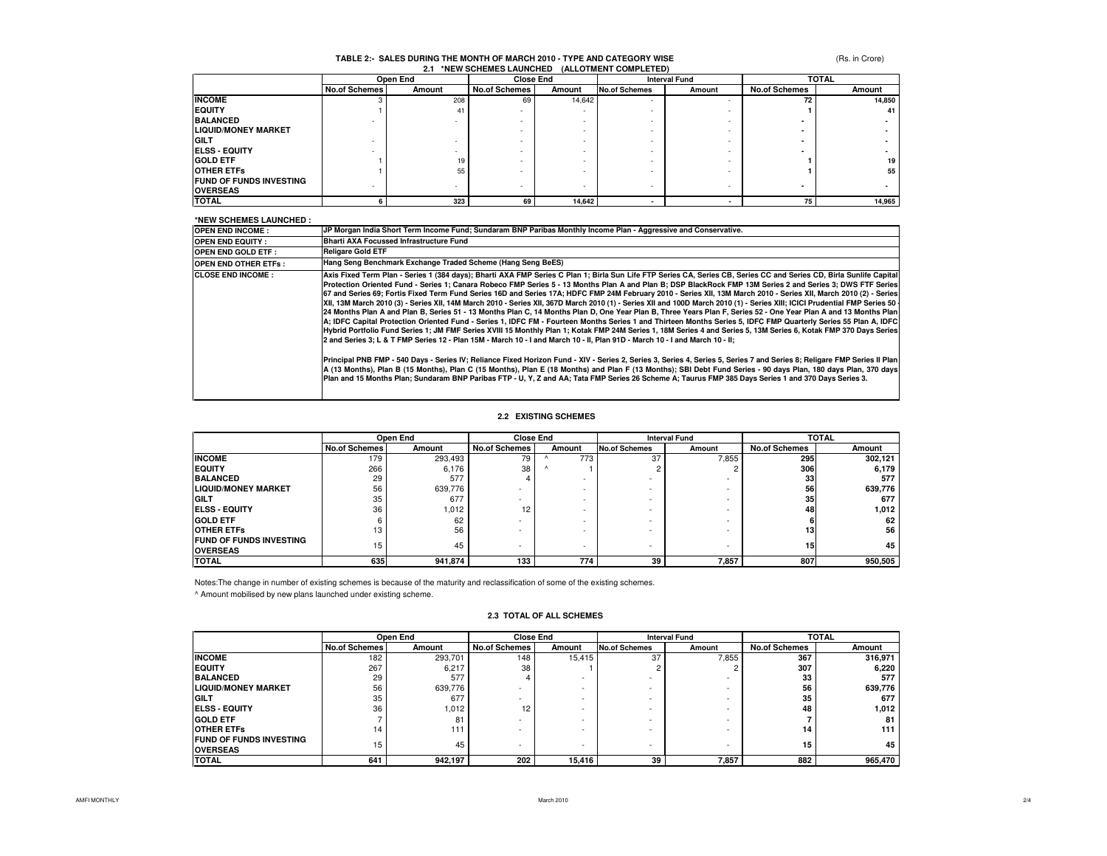## **2.1 \*NEW SCHEMES LAUNCHED (ALLOTMENT COMPLETED)TABLE 2:- SALES DURING THE MONTH OF MARCH 2010 - TYPE AND CATEGORY WISE**

(Rs. in Crore)

|                                | Open End      |        | <b>Close End</b>     |        |                      | <b>Interval Fund</b> |                      | <b>TOTAL</b> |  |
|--------------------------------|---------------|--------|----------------------|--------|----------------------|----------------------|----------------------|--------------|--|
|                                | No.of Schemes | Amount | <b>No.of Schemes</b> | Amount | <b>No.of Schemes</b> | Amount               | <b>No.of Schemes</b> | Amount       |  |
| <b>INCOME</b>                  |               | 208    | 69                   | 14,642 |                      |                      | 72                   | 14,850       |  |
| <b>IEQUITY</b>                 |               | 41     |                      |        |                      |                      |                      | 41           |  |
| <b>BALANCED</b>                |               |        |                      |        |                      |                      |                      |              |  |
| <b>LIQUID/MONEY MARKET</b>     |               |        |                      |        |                      |                      |                      |              |  |
| <b>IGILT</b>                   |               |        |                      |        |                      |                      |                      |              |  |
| <b>ELSS - EQUITY</b>           |               |        |                      |        |                      |                      |                      |              |  |
| <b>GOLD ETF</b>                |               | 19     |                      |        |                      |                      |                      | 19           |  |
| <b>OTHER ETFS</b>              |               | 55     |                      |        |                      |                      |                      | 55           |  |
| <b>FUND OF FUNDS INVESTING</b> |               |        |                      |        |                      |                      |                      |              |  |
| <b>OVERSEAS</b>                |               |        |                      |        |                      |                      |                      |              |  |
| <b>TOTAL</b>                   |               | 323    | 69                   | 14.642 |                      |                      | 75                   | 14,965       |  |

#### **\*NEW SCHEMES LAUNCHED :**

| <b>NEW SCHEMES LAUNCHED</b> |                                                                                                                                                                                                                                                                                                                                                                                                                                                                                                                                                                                                                                                                                                                                                                                                                                                                                                                                                                                                                                                                                                                                                                                                                                                                                                                                                                                                                                                                                                                                                                                                                                                                                                                                                                                                                                      |
|-----------------------------|--------------------------------------------------------------------------------------------------------------------------------------------------------------------------------------------------------------------------------------------------------------------------------------------------------------------------------------------------------------------------------------------------------------------------------------------------------------------------------------------------------------------------------------------------------------------------------------------------------------------------------------------------------------------------------------------------------------------------------------------------------------------------------------------------------------------------------------------------------------------------------------------------------------------------------------------------------------------------------------------------------------------------------------------------------------------------------------------------------------------------------------------------------------------------------------------------------------------------------------------------------------------------------------------------------------------------------------------------------------------------------------------------------------------------------------------------------------------------------------------------------------------------------------------------------------------------------------------------------------------------------------------------------------------------------------------------------------------------------------------------------------------------------------------------------------------------------------|
| <b>OPEN END INCOME:</b>     | JP Morgan India Short Term Income Fund; Sundaram BNP Paribas Monthly Income Plan - Aggressive and Conservative.                                                                                                                                                                                                                                                                                                                                                                                                                                                                                                                                                                                                                                                                                                                                                                                                                                                                                                                                                                                                                                                                                                                                                                                                                                                                                                                                                                                                                                                                                                                                                                                                                                                                                                                      |
| <b>OPEN END EQUITY:</b>     | <b>Bharti AXA Focussed Infrastructure Fund</b>                                                                                                                                                                                                                                                                                                                                                                                                                                                                                                                                                                                                                                                                                                                                                                                                                                                                                                                                                                                                                                                                                                                                                                                                                                                                                                                                                                                                                                                                                                                                                                                                                                                                                                                                                                                       |
| <b>OPEN END GOLD ETF:</b>   | <b>Religare Gold ETF</b>                                                                                                                                                                                                                                                                                                                                                                                                                                                                                                                                                                                                                                                                                                                                                                                                                                                                                                                                                                                                                                                                                                                                                                                                                                                                                                                                                                                                                                                                                                                                                                                                                                                                                                                                                                                                             |
| <b>OPEN END OTHER ETFS:</b> | Hang Seng Benchmark Exchange Traded Scheme (Hang Seng BeES)                                                                                                                                                                                                                                                                                                                                                                                                                                                                                                                                                                                                                                                                                                                                                                                                                                                                                                                                                                                                                                                                                                                                                                                                                                                                                                                                                                                                                                                                                                                                                                                                                                                                                                                                                                          |
| <b>CLOSE END INCOME:</b>    | Axis Fixed Term Plan - Series 1 (384 days); Bharti AXA FMP Series C Plan 1; Birla Sun Life FTP Series CA, Series CB, Series CC and Series CD, Birla Sunlife Capital<br>Protection Oriented Fund - Series 1; Canara Robeco FMP Series 5 - 13 Months Plan A and Plan B; DSP BlackRock FMP 13M Series 2 and Series 3; DWS FTF Series<br>67 and Series 69; Fortis Fixed Term Fund Series 16D and Series 17A; HDFC FMP 24M February 2010 - Series XII, 13M March 2010 - Series XII, March 2010 (2) - Series<br>XII, 13M March 2010 (3) - Series XII, 14M March 2010 - Series XII, 367D March 2010 (1) - Series XII and 100D March 2010 (1) - Series XIII; ICICI Prudential FMP Series 50<br>24 Months Plan A and Plan B, Series 51 - 13 Months Plan C, 14 Months Plan D, One Year Plan B, Three Years Plan F, Series 52 - One Year Plan A and 13 Months Plan<br>A; IDFC Capital Protection Oriented Fund - Series 1, IDFC FM - Fourteen Months Series 1 and Thirteen Months Series 5, IDFC FMP Quarterly Series 55 Plan A, IDFC<br>Hybrid Portfolio Fund Series 1; JM FMF Series XVIII 15 Monthly Plan 1; Kotak FMP 24M Series 1, 18M Series 4 and Series 5, 13M Series 6, Kotak FMP 370 Days Series<br>2 and Series 3; L & T FMP Series 12 - Plan 15M - March 10 - I and March 10 - II, Plan 91D - March 10 - I and March 10 - II;<br>Principal PNB FMP - 540 Days - Series IV; Reliance Fixed Horizon Fund - XIV - Series 2, Series 3, Series 4, Series 5, Series 7 and Series 8; Religare FMP Series II Plan<br>A (13 Months), Plan B (15 Months), Plan C (15 Months), Plan E (18 Months) and Plan F (13 Months); SBI Debt Fund Series - 90 days Plan, 180 days Plan, 370 days<br>Plan and 15 Months Plan; Sundaram BNP Paribas FTP - U, Y, Z and AA; Tata FMP Series 26 Scheme A; Taurus FMP 385 Days Series 1 and 370 Days Series 3. |
|                             |                                                                                                                                                                                                                                                                                                                                                                                                                                                                                                                                                                                                                                                                                                                                                                                                                                                                                                                                                                                                                                                                                                                                                                                                                                                                                                                                                                                                                                                                                                                                                                                                                                                                                                                                                                                                                                      |

### **2.2 EXISTING SCHEMES**

|                                 | Open End             |         | <b>Close End</b>     |        | <b>Interval Fund</b>     |                          | <b>TOTAL</b>         |         |
|---------------------------------|----------------------|---------|----------------------|--------|--------------------------|--------------------------|----------------------|---------|
|                                 | <b>No.of Schemes</b> | Amount  | <b>No.of Schemes</b> | Amount | <b>No.of Schemes</b>     | Amount                   | <b>No.of Schemes</b> | Amount  |
| <b>INCOME</b>                   | 179                  | 293,493 | 79                   | 773    | 37                       | 7,855                    | 295                  | 302.121 |
| <b>IEQUITY</b>                  | 266                  | 6,176   | 38                   |        |                          |                          | 306                  | 6,179   |
| <b>BALANCED</b>                 | 29                   | 577     |                      |        |                          |                          | 33                   | 577     |
| <b>LIQUID/MONEY MARKET</b>      | 56                   | 639,776 |                      |        |                          |                          | 56                   | 639,776 |
| <b>IGILT</b>                    | 35                   | 677     |                      |        |                          |                          | 35                   | 677     |
| <b>IELSS - EQUITY</b>           | 36                   | 1,012   | 12                   |        | . .                      |                          | 48                   | 1,012   |
| <b>GOLD ETF</b>                 |                      | 62      |                      |        |                          |                          |                      | 62      |
| <b>OTHER ETFS</b>               | 13                   | 56      |                      |        |                          |                          | 13                   | 56      |
| <b>FUND OF FUNDS INVESTING</b>  | 15                   | 45      |                      |        | $\overline{\phantom{a}}$ | $\overline{\phantom{a}}$ | 15                   | 45      |
| <b>OVERSEAS</b><br><b>TOTAL</b> | 635                  | 941,874 | 133                  | 774    | 39                       | 7,857                    | 807                  | 950,505 |
|                                 |                      |         |                      |        |                          |                          |                      |         |

Notes:The change in number of existing schemes is because of the maturity and reclassification of some of the existing schemes.

^ Amount mobilised by new plans launched under existing scheme.

### **2.3 TOTAL OF ALL SCHEMES**

|                                |                      | Open End | <b>Close End</b>     |                          | <b>Interval Fund</b> |                          | <b>TOTAL</b>         |         |
|--------------------------------|----------------------|----------|----------------------|--------------------------|----------------------|--------------------------|----------------------|---------|
|                                | <b>No.of Schemes</b> | Amount   | <b>No.of Schemes</b> | Amount                   | <b>No.of Schemes</b> | Amount                   | <b>No.of Schemes</b> | Amount  |
| <b>INCOME</b>                  | 182                  | 293.701  | 148                  | 15.415                   | 37                   | 7.855                    | 367                  | 316,971 |
| <b>IEQUITY</b>                 | 267                  | 6,217    | 38                   |                          |                      |                          | 307                  | 6,220   |
| <b>BALANCED</b>                | 29                   | 577      |                      |                          |                      | . .                      | 33                   | 577     |
| <b>LIQUID/MONEY MARKET</b>     | 56                   | 639,776  | -                    | -                        | -                    | . .                      | 56                   | 639,776 |
| <b>IGILT</b>                   | 35                   | 677      | -                    | -                        | -                    | . .                      | 35                   | 677     |
| <b>IELSS - EQUITY</b>          | 36                   | 1.012    | 12                   | -                        | -                    | . .                      | 48                   | 1,012   |
| <b>GOLD ETF</b>                |                      | 81       | -                    |                          |                      | . .                      |                      | 81      |
| <b>OTHER ETFS</b>              | 14                   | 111      | <b>.</b>             | $\overline{\phantom{a}}$ | ۰                    | $\overline{\phantom{a}}$ | 14                   | 111     |
| <b>FUND OF FUNDS INVESTING</b> | 15                   | 45       |                      | -                        | -                    | $\overline{\phantom{a}}$ | 15                   | 45      |
| <b>OVERSEAS</b>                |                      |          |                      |                          |                      |                          |                      |         |
| <b>TOTAL</b>                   | 641                  | 942,197  | 202                  | 15.416                   | 39                   | 7,857                    | 882                  | 965,470 |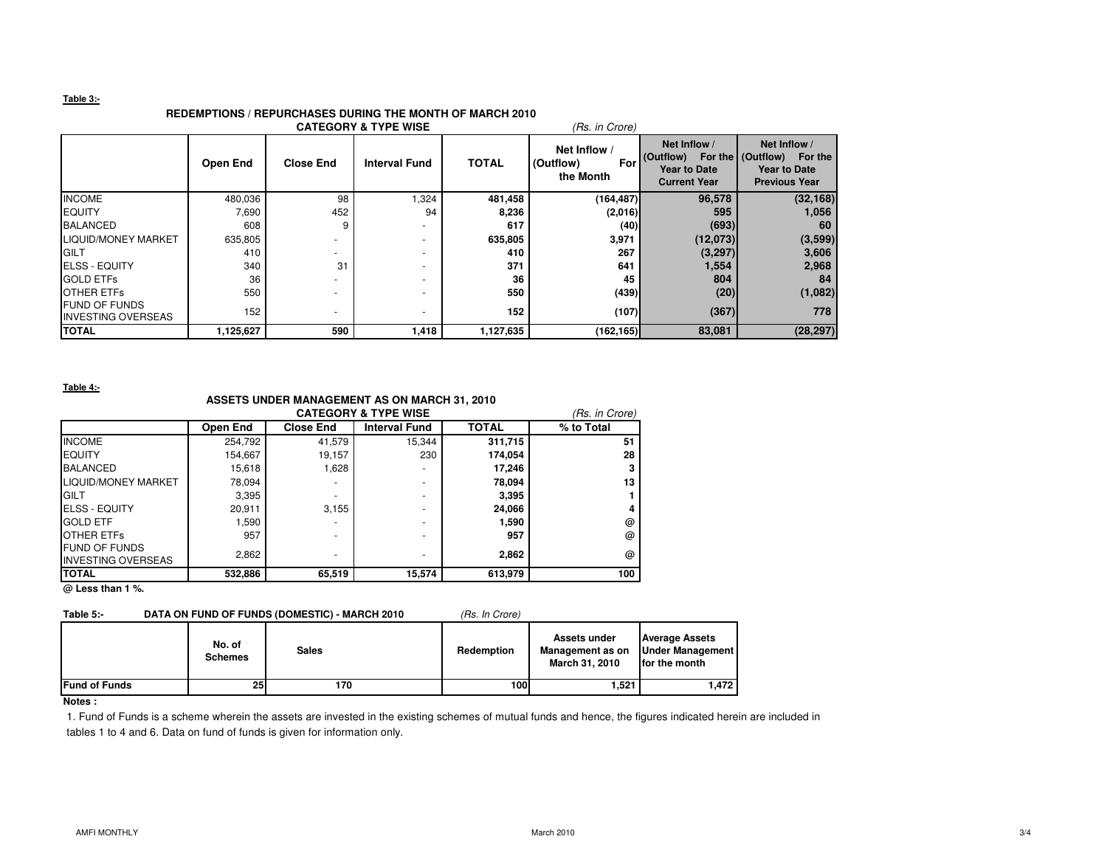### **Table 3:-**

### **REDEMPTIONS / REPURCHASES DURING THE MONTH OF MARCH 2010**

| <b>CATEGORY &amp; TYPE WISE</b><br>(Rs. in Crore) |           |                  |                      |              |                                               |                                                                         |                                                                                          |  |  |
|---------------------------------------------------|-----------|------------------|----------------------|--------------|-----------------------------------------------|-------------------------------------------------------------------------|------------------------------------------------------------------------------------------|--|--|
|                                                   | Open End  | <b>Close End</b> | <b>Interval Fund</b> | <b>TOTAL</b> | Net Inflow /<br>(Outflow)<br>For<br>the Month | Net Inflow /<br>(Outflow)<br><b>Year to Date</b><br><b>Current Year</b> | Net Inflow /<br>For the (Outflow) For the<br><b>Year to Date</b><br><b>Previous Year</b> |  |  |
| <b>INCOME</b>                                     | 480,036   | 98               | 1,324                | 481,458      | (164, 487)                                    | 96,578                                                                  | (32, 168)                                                                                |  |  |
| <b>EQUITY</b>                                     | 7,690     | 452              | 94                   | 8,236        | (2,016)                                       | 595                                                                     | 1,056                                                                                    |  |  |
| <b>BALANCED</b>                                   | 608       | 9                |                      | 617          | (40)                                          | (693)                                                                   | 60                                                                                       |  |  |
| LIQUID/MONEY MARKET                               | 635,805   |                  |                      | 635,805      | 3,971                                         | (12,073)                                                                | (3,599)                                                                                  |  |  |
| <b>IGILT</b>                                      | 410       | -                |                      | 410          | 267                                           | (3,297)                                                                 | 3,606                                                                                    |  |  |
| <b>IELSS - EQUITY</b>                             | 340       | 31               |                      | 371          | 641                                           | 1,554                                                                   | 2,968                                                                                    |  |  |
| <b>GOLD ETFS</b>                                  | 36        | ٠                |                      | 36           | 45                                            | 804                                                                     | 84                                                                                       |  |  |
| <b>OTHER ETFS</b>                                 | 550       |                  |                      | 550          | (439)                                         | (20)                                                                    | (1,082)                                                                                  |  |  |
| <b>FUND OF FUNDS</b><br><b>INVESTING OVERSEAS</b> | 152       | ۰                |                      | 152          | (107)                                         | (367)                                                                   | 778                                                                                      |  |  |
| <b>TOTAL</b>                                      | 1,125,627 | 590              | 1,418                | 1,127,635    | (162, 165)                                    | 83,081                                                                  | (28, 297)                                                                                |  |  |

**Table 4:-**

### **ASSETS UNDER MANAGEMENT AS ON MARCH 31, 2010**

|                                                   | <b>CATEGORY &amp; TYPE WISE</b> |                  |                          |              |            |  |  |  |
|---------------------------------------------------|---------------------------------|------------------|--------------------------|--------------|------------|--|--|--|
|                                                   | <b>Open End</b>                 | <b>Close End</b> | <b>Interval Fund</b>     | <b>TOTAL</b> | % to Total |  |  |  |
| <b>INCOME</b>                                     | 254,792                         | 41,579           | 15,344                   | 311,715      | 51         |  |  |  |
| <b>EQUITY</b>                                     | 154.667                         | 19.157           | 230                      | 174.054      | 28         |  |  |  |
| <b>BALANCED</b>                                   | 15,618                          | 1,628            | ٠                        | 17,246       |            |  |  |  |
| <b>LIQUID/MONEY MARKET</b>                        | 78,094                          |                  | -                        | 78.094       | 13         |  |  |  |
| <b>GILT</b>                                       | 3,395                           |                  | ٠                        | 3,395        |            |  |  |  |
| <b>IELSS - EQUITY</b>                             | 20.911                          | 3.155            | ٠                        | 24,066       |            |  |  |  |
| <b>GOLD ETF</b>                                   | 1,590                           |                  | $\overline{\phantom{a}}$ | 1,590        | @          |  |  |  |
| <b>OTHER ETFS</b>                                 | 957                             | -                | ۰                        | 957          | @          |  |  |  |
| <b>FUND OF FUNDS</b><br><b>INVESTING OVERSEAS</b> | 2,862                           |                  |                          | 2.862        | @          |  |  |  |
| <b>TOTAL</b>                                      | 532,886                         | 65,519           | 15,574                   | 613,979      | 100        |  |  |  |

**@ Less than 1 %.**

### **Table 5:-** DATA ON FUND OF FUNDS (DOMESTIC) - MARCH 2010 (Rs. In Crore)

|                      | No. of<br><b>Schemes</b> | <b>Sales</b> | Redemption  | Assets under<br>Management as on<br>March 31, 2010 | <b>Average Assets</b><br><b>Under Management</b><br>for the month |
|----------------------|--------------------------|--------------|-------------|----------------------------------------------------|-------------------------------------------------------------------|
| <b>Fund of Funds</b> | 25 I                     | 170          | <b>100l</b> | 1,521                                              | 1.472                                                             |

### **Notes :**

1. Fund of Funds is a scheme wherein the assets are invested in the existing schemes of mutual funds and hence, the figures indicated herein are included in tables 1 to 4 and 6. Data on fund of funds is given for information only.